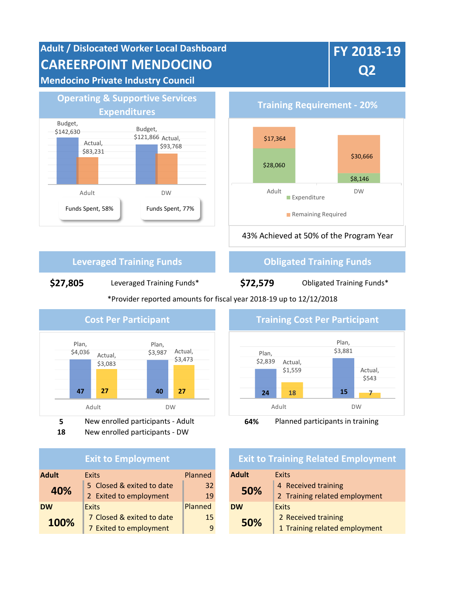



**18** New enrolled participants - DW

| <b>Exit to Employment</b> |                           |         |              | <b>Exit to Training Related I</b> |  |  |
|---------------------------|---------------------------|---------|--------------|-----------------------------------|--|--|
| <b>Adult</b>              | <b>Exits</b>              | Planned | <b>Adult</b> | <b>Exits</b>                      |  |  |
| 40%                       | 5 Closed & exited to date | 32      | 50%          | 4 Received training               |  |  |
|                           | 2 Exited to employment    | 19      |              | 2 Training related 6              |  |  |
| <b>DW</b>                 | <b>Exits</b>              | Planned | <b>DW</b>    | <b>Exits</b>                      |  |  |
| 100%                      | 7 Closed & exited to date | 15      | 50%          | 2 Received training               |  |  |
|                           | 7 Exited to employment    | 9       |              | 1 Training related e              |  |  |



## **Exit to Training Related Employment**

| xits                      | <b>Planned</b> | <b>Adult</b> | Exits                         |  |
|---------------------------|----------------|--------------|-------------------------------|--|
| 5 Closed & exited to date | 32             | 50%          | 4 Received training           |  |
| 2 Exited to employment    | 19             |              | 2 Training related employment |  |
| xits                      | Planned        | <b>DW</b>    | <b>Exits</b>                  |  |
| 7 Closed & exited to date | 15             | 50%          | 2 Received training           |  |
| 7 Exited to employment    | 9              |              | 1 Training related employment |  |